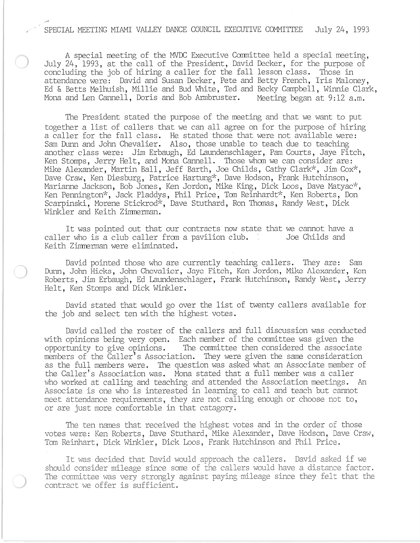## ,/ # SPECIAL MEETING MIAMI VALLEY DANCE COUNCIL EXECUTIVE COMMITTEE July 24, 1993

A special meeting of the MVDC Executive Carmittee held a special meeting, July 24, 1993, at the call of the President, David Decker, for the purpose of concluding the job of hiring a caller for the fall lesson class. Those in attendance were: David and Susan Decker, Pete and Betty French, Iris Maloney, Ed & Betts Me1huish, Millie and Bud White, Ted and Becky Campbell, Winnie Clark, Mona and Len Cannell, Doris and Bob Armbruster. Meeting began at 9:12 a.m.

The President stated the purpose of the meeting and that we want to put together a list of callers that we can all agree on for the purpose of hiring a caller for the fall class. He stated those that were not available were: Sam Dunn and John Chevalier. Also, those unable to teach due to teaching another class were: Jim Erbaugh, Ed Laundenschlager, Pam Courts, Jaye Fitch, Ken Stomps, Jerry Helt, and Mona Cannell. Those whom we can consider are: Mike Alexander, Martin Ball, Jeff Barth, Joe Childs, Cathy Clark\*, Jim Cox\*, Dave Craw, Ken Diesburg, Patrice Hartung\*, Dave Hodson, Frank Hutchinson, Marianne Jackson, Bob Jones, Ken Jordon, Mike King, Dick Loos, Dave Matyac<sup>\*</sup>, Ken Pennington\*, Jack Pladdys, Phil Price, Tom Reinhardt\*, Ken Roberts, Don Scarpinski, Morene Stickrod<sup>\*</sup>, Dave Stuthard, Ron Thomas, Randy West, Dick Winkler and Keith Zimnerman.

It was pointed out that our contracts now state that we cannot have a caller who is a club caller from a pavilion club. Joe Childs and Keith Zimnennan were eliminated.

David pointed those who are currently teaching callers. They are: Sam Dunn, John Hicks, John Chevalier, Jaye Fitch, Ken Jordon, Mike Alexander, Ken Roberts, Jim Erbaugh, Ed Laundenschlager, Frank Hutchinson, Randy West, Jerry Helt, Ken Stomps and Dick Winkler.

David stated that would go over the list of twenty callers available for the job and select ten with the highest votes.

David called the roster of the callers and full discussion was conducted with opinions being very open. Each member of the committee was given the opportunity to give opinions. The committee then considered the associate members of the Caller's Association. They were given the same consideration as the full members were. The question was asked what an Associate member of the Caller's Association was. Mona stated that a full member was a caller who worked at calling and teaching and attended the Association meetings. An Associate is one who is interested in learning to call and teach but cannot meet attendance requirements, they are not calling enough or choose not to, or are just more canfortable in that catagory.

The ten names that received the highest votes and in the order of those votes were: Ken Roberts, Dave Stuthard, Mike Alexander, Dave Hodson, Dave Craw, Tan Reinhart, Dick Winkler, Dick Loos, Frank Hutchinson and Phil Price.

It was decided that David would approach the callers. David asked if we should consider mileage since some of the callers would have a distance factor. The committee was very strongly against paying mileage since they felt that the contract we offer is sufficient.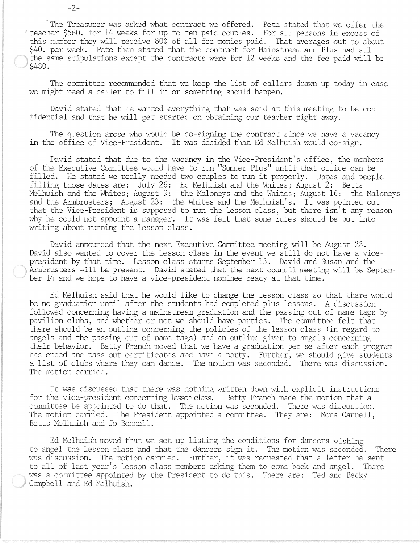"The Treasurer was asked what contract we offered. Pete stated that we offer the 'teacher \$560. for 14 weeks for up to ten paid couples. For all persons in excess of this number they will receive 80% of all fee monies paid. That averages out to about \$40. per week. Pete then stated that the contract for Mainstream and Plus had all the same stipulations except the contracts were for 12 weeks and the fee paid will be \$480.

The committee recommended that we keep the list of callers drawn up today in case we might need a caller to fill in or something should happen.

David stated that he wanted everything that was said at this meeting to be confidential and that he will get started on obtaining our teacher right away.

The question arose who would be co-signing the contract since we have a vacancy in the office of Vice-President. It was decided that Ed Melhuish would co-sign.

David stated that due to the vacancy in the Vice-President's office, the members of the Executive Committee would have to run "Summer Plus" until that office can be filled. He stated we really needed two couples to run it properly. Dates and people filling those dates are: July 26: Ed Melhuish and the Whites; August 2: Betts Melhuish and the Whites; August 9: the Maloneys and the Whites; August 16: the Maloneys and the Armbrusters; August 23: the Whites and the Melhuish's. It was pointed out that the Vice-President is supposed to run the lesson class, but there isn't any reason why he could not appoint a manager. It was felt that some rules should be put into writing about running the lesson class.

David announced that the next Executive Committee meeting will be August 28. David also wanted to cover the lesson class in the event we still do not have a vicepresident by that time. Lesson class starts September 13. David and Susan and the Armbrusters will be present. David stated that the next council meeting will be September 14 and we hope to have a vice-president naninee ready at that time.

Ed Melhuish said that he would like to change the lesson class so that there would be no graduation until after the students had canpleted plus lessons. A discussion followed concerning having a mainstream graduation and the passing out of name tags by pavilion clubs, and whether or not we should have parties. The committee felt that there should be an outline concerning the policies of the lesson class (in regard to angels and the passing out 'of name tags) and an outline given to angels concerning their behavior. Betty French moved that we have a graduation per se after each program has ended and pass out certificates and have a party. Further, we should give students a list of clubs Where they can dance. The motion was seconded. There was discussion. The motion carried.

It was discussed that there was nothing written down with explicit instructions for the vice-president concerning lesson class. Betty French made the motion that a ccmnittee be appointed to do that. The motion was seconded. There was discussion. The motion carried. The President appointed a committee. They are: Mona Cannell, Betts Melhuish and Jo Bonnell .

. Ed Melhuish moved that we set up listing the conditions for dancers wishing to angel the lesson class and that the dancers sign it. The motion was seconded. There was discussion. The motion carriec. Further, it was requested that a letter be sent to all of last year's lesson class members asking them to come back and angel. There was a committee appointed by the President to do this. There are: Ted and Becky Campbell and Ed Melhuish.

-2-